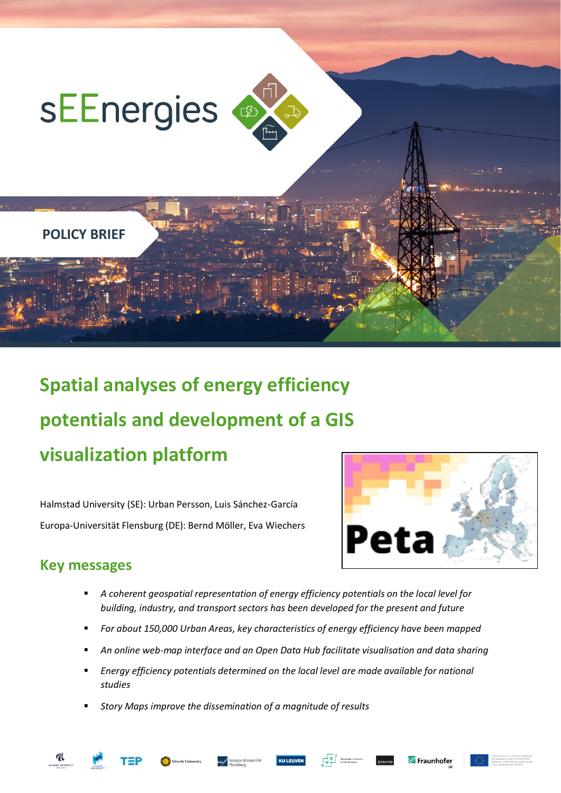

# **Spatial analyses of energy efficiency potentials and development of a GIS visualization platform**

Halmstad University (SE): Urban Persson, Luis Sánchez-García Europa-Universität Flensburg (DE): Bernd Möller, Eva Wiechers



## **Key messages**

- *A coherent geospatial representation of energy efficiency potentials on the local level for building, industry, and transport sectors has been developed for the present and future*
- *For about 150,000 Urban Areas, key characteristics of energy efficiency have been mapped*
- *An online web-map interface and an Open Data Hub facilitate visualisation and data sharing*
- *Energy efficiency potentials determined on the local level are made available for national studies*
- *Story Maps improve the dissemination of a magnitude of results*